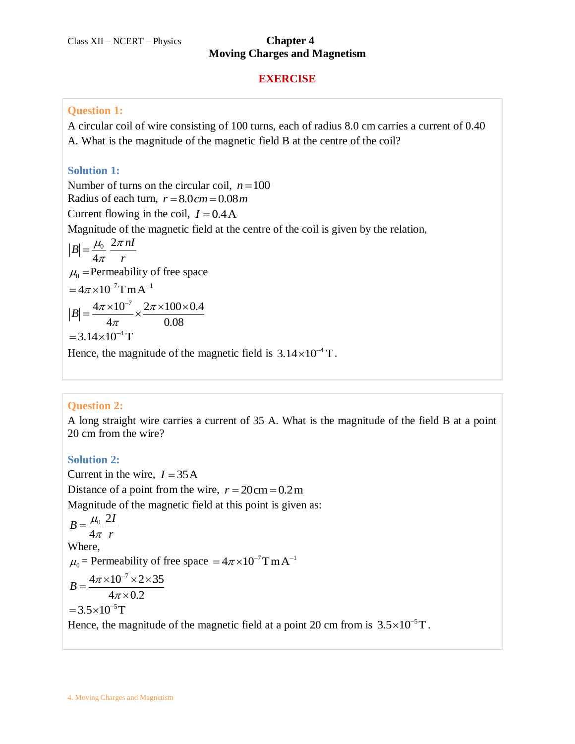# **Moving Charges and Magnetism**

#### **EXERCISE**

#### **Question 1:**

A circular coil of wire consisting of 100 turns, each of radius 8.0 cm carries a current of 0.40 A. What is the magnitude of the magnetic field B at the centre of the coil?

# **Solution 1:**

Number of turns on the circular coil,  $n = 100$ Radius of each turn,  $r = 8.0 cm = 0.08 m$ Current flowing in the coil,  $I = 0.4$  A Magnitude of the magnetic field at the centre of the coil is given by the relation,  $\sqrt{0}$  2 4  $B=\frac{\mu_0}{4} \frac{2\pi nI}{2\pi}$ *r*  $\mu_{0}$  2 $\pi$  $=\frac{\mu_0}{4\pi}$  $\mu_0$  = Permeability of free space  $= 4\pi \times 10^{-7}$  T m A<sup>-1</sup> 7  $\frac{4\pi \times 10^{-7}}{100 \times 10^{17}} \times \frac{2\pi \times 100 \times 0.4}{100 \times 0.4}$  $B = \frac{4\pi \times 10^{-7}}{4\pi} \times \frac{2\pi \times 100}{0.08}$  $\pi$ į.  $=\frac{4\pi\times10^{-7}}{4\pi\times10^{7}}\times\frac{2\pi\times100\times0.4}{0.08}$  $= 3.14 \times 10^{-4}$  T Hence, the magnitude of the magnetic field is  $3.14 \times 10^{-4}$  T.

# **Question 2:**

A long straight wire carries a current of 35 A. What is the magnitude of the field B at a point 20 cm from the wire?

# **Solution 2:**

Current in the wire,  $I = 35$ A Distance of a point from the wire,  $r = 20 \text{cm} = 0.2 \text{m}$ Magnitude of the magnetic field at this point is given as:  $\frac{1}{0}$  2 4  $B = \frac{\mu_0}{4} \frac{2I}{2\mu}$ *r*  $\mu_{\scriptscriptstyle (}$  $=\frac{\mu_0}{4\pi}$ Where,  $\mu_0$  = Permeability of free space =  $4\pi \times 10^{-7}$ TmA<sup>-1</sup>  $B = \frac{4\pi \times 10^{-7} \times 2 \times 35}{4}$  $\frac{1}{4\pi \times 0.2}$  $= 3.5 \times 10^{-5}$ T Hence, the magnitude of the magnetic field at a point 20 cm from is  $3.5 \times 10^{-5}$ T.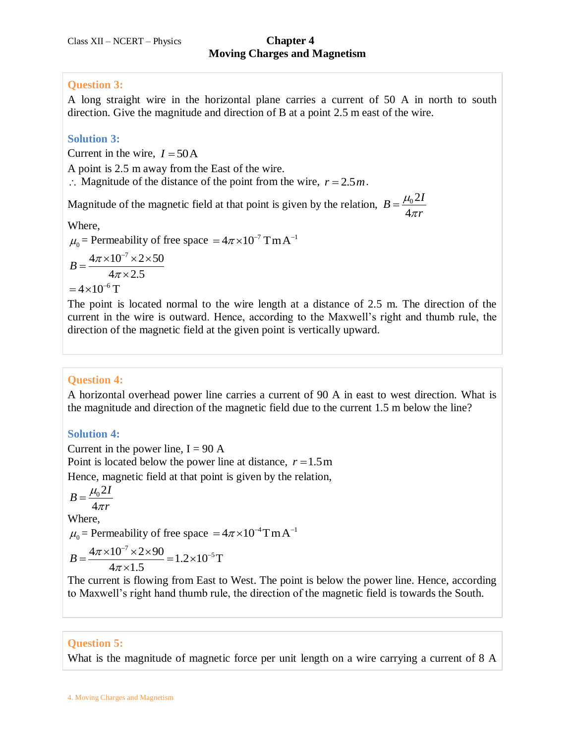### **Question 3:**

A long straight wire in the horizontal plane carries a current of 50 A in north to south direction. Give the magnitude and direction of B at a point 2.5 m east of the wire.

## **Solution 3:**

Current in the wire,  $I = 50$  A

A point is 2.5 m away from the East of the wire.

 $\therefore$  Magnitude of the distance of the point from the wire,  $r = 2.5m$ .

Magnitude of the magnetic field at that point is given by the relation,  $B = \frac{\mu_0 2}{\mu_0 2}$ 4  $B = \frac{\mu_0 2I}{I}$ *r*  $\mu_{\scriptscriptstyle (}$  $=\frac{\mu_0}{4\pi}$ 

Where,

 $\mu_0$  = Permeability of free space =  $4\pi \times 10^{-7}$  T m A<sup>-1</sup>

 $4\pi \times 10^{-7} \times 2 \times 50$  $B = \frac{4\pi \times 10^{-1} \times 2}{4\pi \times 2.5}$  $\pi$  $=\frac{4\pi\times10^{-7}\times2\times50}{4\times10^{-7}}$  $\times$  $= 4 \times 10^{-6}$  T

The point is located normal to the wire length at a distance of 2.5 m. The direction of the current in the wire is outward. Hence, according to the Maxwell's right and thumb rule, the direction of the magnetic field at the given point is vertically upward.

# **Question 4:**

A horizontal overhead power line carries a current of 90 A in east to west direction. What is the magnitude and direction of the magnetic field due to the current 1.5 m below the line?

# **Solution 4:**

Current in the power line,  $I = 90 A$ Point is located below the power line at distance,  $r = 1.5$  m Hence, magnetic field at that point is given by the relation,

$$
B=\frac{\mu_0 2I}{I}
$$

 $4\pi r$ 

Where,

$$
\mu_0
$$
 = Permeability of free space =  $4\pi \times 10^{-4}$ T m A<sup>-1</sup>

$$
\mu_0 = \text{Permeaonny of free space} = 0
$$
  

$$
B = \frac{4\pi \times 10^{-7} \times 2 \times 90}{4\pi \times 1.5} = 1.2 \times 10^{-5} \text{ T}
$$

The current is flowing from East to West. The point is below the power line. Hence, according to Maxwell's right hand thumb rule, the direction of the magnetic field is towards the South.

# **Question 5:**

What is the magnitude of magnetic force per unit length on a wire carrying a current of 8 A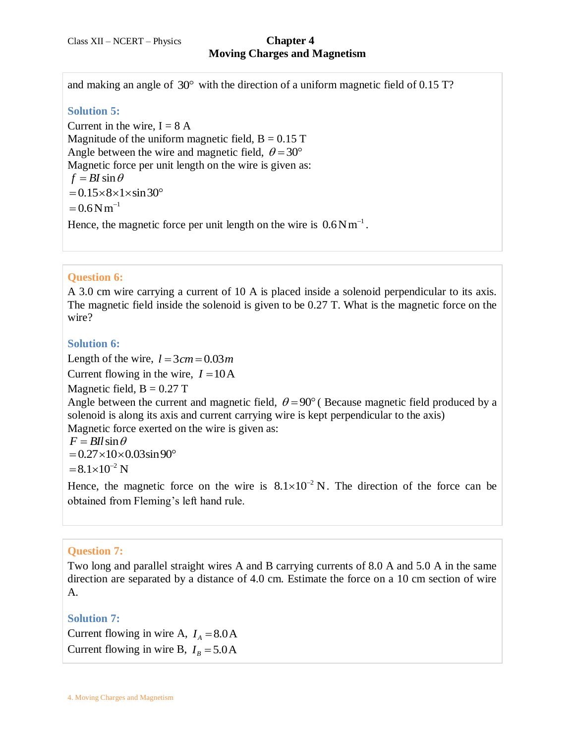and making an angle of  $30^{\circ}$  with the direction of a uniform magnetic field of 0.15 T?

#### **Solution 5:**

Current in the wire,  $I = 8$  A Magnitude of the uniform magnetic field,  $B = 0.15$  T Angle between the wire and magnetic field,  $\theta = 30^{\circ}$ Magnetic force per unit length on the wire is given as:  $f = BI \sin \theta$  $= 0.15 \times 8 \times 1 \times \sin 30^{\circ}$  $= 0.6 N m^{-1}$ Hence, the magnetic force per unit length on the wire is  $0.6Nm^{-1}$ .

### **Question 6:**

A 3.0 cm wire carrying a current of 10 A is placed inside a solenoid perpendicular to its axis. The magnetic field inside the solenoid is given to be 0.27 T. What is the magnetic force on the wire?

#### **Solution 6:**

Length of the wire,  $l = 3 cm = 0.03 m$ Current flowing in the wire,  $I = 10A$ Magnetic field,  $B = 0.27$  T Angle between the current and magnetic field,  $\theta = 90^{\circ}$  (Because magnetic field produced by a solenoid is along its axis and current carrying wire is kept perpendicular to the axis) Magnetic force exerted on the wire is given as:  $F = BII \sin \theta$  $= 0.27 \times 10 \times 0.03 \sin 90^{\circ}$  $= 8.1 \times 10^{-2}$  N

Hence, the magnetic force on the wire is  $8.1 \times 10^{-2}$  N. The direction of the force can be obtained from Fleming's left hand rule.

#### **Question 7:**

Two long and parallel straight wires A and B carrying currents of 8.0 A and 5.0 A in the same direction are separated by a distance of 4.0 cm. Estimate the force on a 10 cm section of wire A.

**Solution 7:** Current flowing in wire A,  $I_A = 8.0$  A Current flowing in wire B,  $I_B = 5.0$  A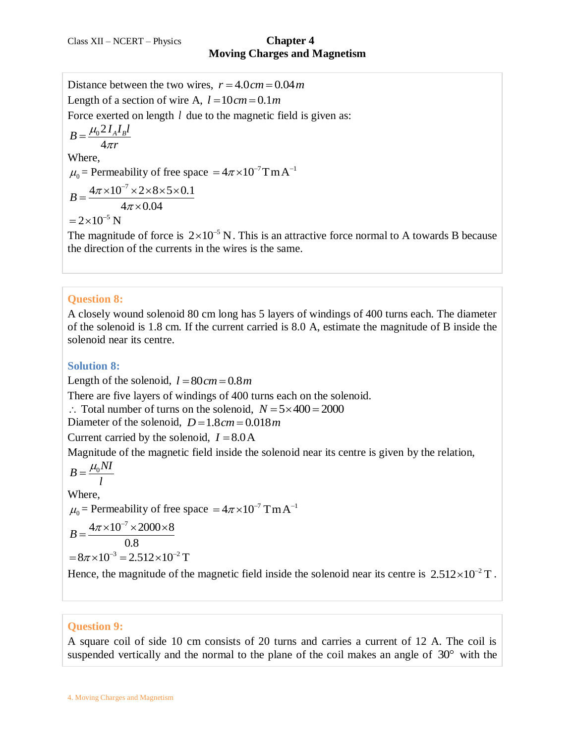Distance between the two wires,  $r = 4.0 cm = 0.04 m$ Length of a section of wire A,  $l = 10$  cm = 0.1m Force exerted on length *l* due to the magnetic field is given as:  $B = \frac{\mu_0 2 I_A I_B l}{I}$  $4\pi r$ Where,  $\mu_0$  = Permeability of free space =  $4\pi \times 10^{-7}$ TmA<sup>-1</sup> 7  $B = \frac{4\pi \times 10^{-7} \times 2 \times 8 \times 5 \times 0.1}{10^{-6} \times 10^{-6} \text{ s}}$  $\frac{\lambda 2 \lambda 8}{4\pi \times 0.04}$  $=\frac{4\pi\times10^{-7}\times2\times8\times5\times0.1}{4\times10^{-7}\times10^{-7}}$  $= 2 \times 10^{-5}$  N

The magnitude of force is  $2 \times 10^{-5}$  N. This is an attractive force normal to A towards B because the direction of the currents in the wires is the same.

#### **Question 8:**

A closely wound solenoid 80 cm long has 5 layers of windings of 400 turns each. The diameter of the solenoid is 1.8 cm. If the current carried is 8.0 A, estimate the magnitude of B inside the solenoid near its centre.

**Solution 8:**

Length of the solenoid,  $l = 80$  cm = 0.8m

There are five layers of windings of 400 turns each on the solenoid.

 $\therefore$  Total number of turns on the solenoid,  $N = 5 \times 400 = 2000$ 

 $\therefore$  Your nanneer of tarms on the solenoid,  $P = 1.8 cm = 0.018 m$ 

Current carried by the solenoid,  $I = 8.0$ A

Magnitude of the magnetic field inside the solenoid near its centre is given by the relation,

$$
B = \frac{\mu_0 NI}{l}
$$
  
Where,  

$$
\mu_0 = \text{Permeability of free space } = 4\pi \times 10^{-7} \text{ T m A}^{-1}
$$

$$
B = \frac{4\pi \times 10^{-7} \times 2000 \times 8}{0.8}
$$

$$
= 8\pi \times 10^{-3} = 2.512 \times 10^{-2} \text{ T}
$$
  
Hence, the magnitude of the magnetic field inside the solenoid near its centre is 2.512×10<sup>-2</sup> T.

#### **Question 9:**

A square coil of side 10 cm consists of 20 turns and carries a current of 12 A. The coil is suspended vertically and the normal to the plane of the coil makes an angle of  $30^{\circ}$  with the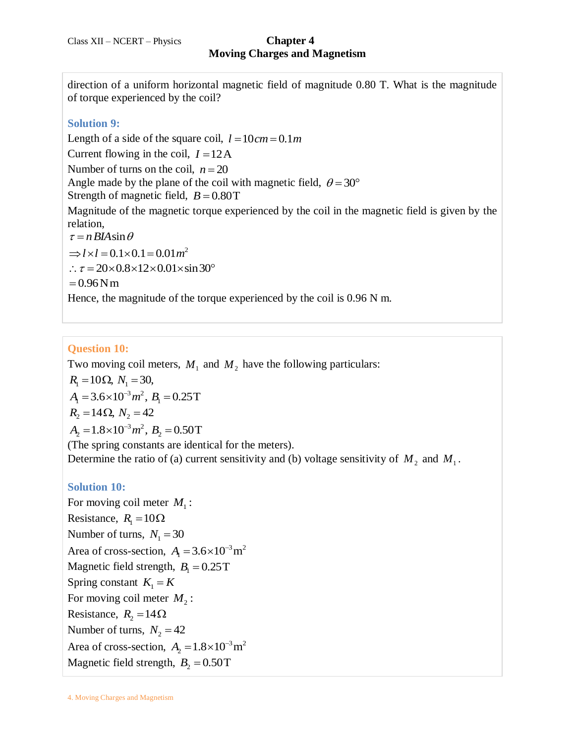direction of a uniform horizontal magnetic field of magnitude 0.80 T. What is the magnitude of torque experienced by the coil?

### **Solution 9:**

Length of a side of the square coil,  $l = 10 cm = 0.1 m$ Current flowing in the coil,  $I = 12A$ Number of turns on the coil,  $n = 20$ Angle made by the plane of the coil with magnetic field,  $\theta = 30^{\circ}$ Strength of magnetic field,  $B = 0.80$ T Magnitude of the magnetic torque experienced by the coil in the magnetic field is given by the relation,  $\tau = n B I A \sin \theta$  $\Rightarrow l \times l = 0.1 \times 0.1 = 0.01 m^2$  $\therefore \tau = 20 \times 0.8 \times 12 \times 0.01 \times \sin 30^{\circ}$ <br>= 0.96 N m

Hence, the magnitude of the torque experienced by the coil is 0.96 N m.

### **Question 10:**

Two moving coil meters,  $M_1$  and  $M_2$  have the following particulars:  $R_1 = 10 \Omega$ ,  $N_1 = 30$ ,<br> $A_1 = 3.6 \times 10^{-3} m^2$ ,  $B_1 = 0.25$ T  $R_1 = 10s2, N_1 = 30,$ <br>  $A_1 = 3.6 \times 10^{-3} m^2, B_1 = 0.25$ T<br>  $R_2 = 14 \Omega, N_2 = 42$ <br>  $A_2 = 1.8 \times 10^{-3} m^2, B_2 = 0.50$ T  $R_2 = 14 \Omega$ ,  $N_2 = 42$ <br>  $A_2 = 1.8 \times 10^{-3} m^2$ ,  $B_2 = 0.50$ T (The spring constants are identical for the meters). Determine the ratio of (a) current sensitivity and (b) voltage sensitivity of  $M_2$  and  $M_1$ .

#### **Solution 10:**

For moving coil meter  $M_1$ : Resistance,  $R_1 = 10\Omega$ Number of turns,  $N_1 = 30$ Area of cross-section,  $A_1 = 3.6 \times 10^{-3}$  m<sup>2</sup> Magnetic field strength,  $B_1 = 0.25$ T Spring constant  $K_1 = K$ For moving coil meter  $M_2$ : Resistance,  $R_2 = 14 \Omega$ Number of turns,  $N_2 = 42$ Area of cross-section,  $A_2 = 1.8 \times 10^{-3}$  m<sup>2</sup> Magnetic field strength,  $B_2 = 0.50$ T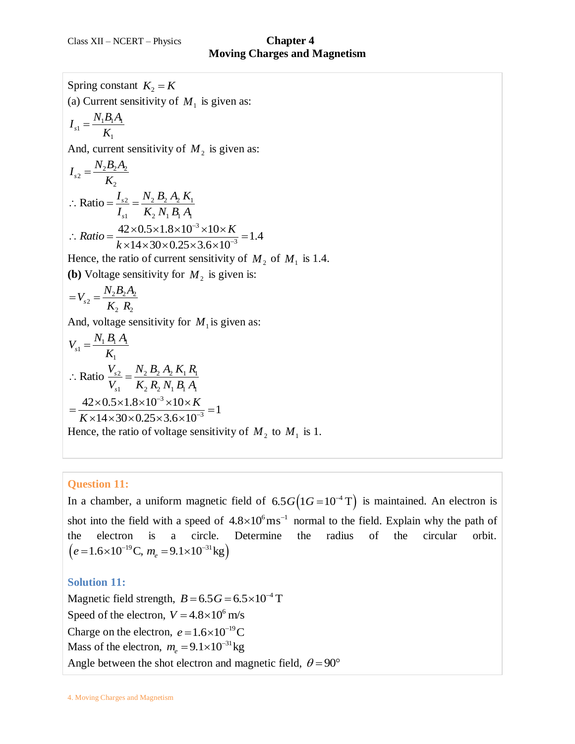Spring constant  $K_2 = K$ (a) Current sensitivity of  $M_1$  is given as:  $_1=\frac{N_1D_1N_1}{V}$ 1  $I_{s1} = \frac{N_1 B_1 A_1}{V}$ *K*  $=$ And, current sensitivity of  $M<sub>2</sub>$  is given as:  $v_2 = \frac{N_2 D_2 D_2}{V}$ 2  $I_{s2} = \frac{N_2 B_2 A_2}{V}$ *K*  $=$  $\frac{2}{2} = \frac{N_2 B_2 A_2 K_1}{2}$  $K_1$   $K_2$   $N_1$   $B_1$   $A_1$ Ratio  $=\frac{I_s}{I_s}$ *s*  $I_{s2}$   $\frac{N_2 B_2 A_2 K}{N_1}$  $\frac{I_{s2}}{I_{s1}} = \frac{I_{\gamma_2} B_2 A_2 A_3}{K_2 N_1 B_1 A_1}$  $\therefore$  Ratio =  $\frac{I_{s2}}{I} = \frac{N_2}{K}$ 3  $I_{s1}$   $K_2 N_1 B_1 A_1$ <br>  $42 \times 0.5 \times 1.8 \times 10^{-3} \times 10 \times K$ <br>  $K_2$   $44 \times 30 \times 0.25 \times 3.6 \times 10^{-3} = 1.4$  $Ratio = \frac{42 \times 0.5 \times 1.8 \times 10^{-3} \times 10 \times K}{k \times 14 \times 30 \times 0.25 \times 3.6 \times 10^{-3}}$ *k*  $\overline{a}$ .. Ratio =  $\frac{I_{s1}}{I_{s1}} = \frac{K_2 N_1 B_1 A_1}{K_2 N_1 B_1 A_1}$ <br>
∴ Ratio =  $\frac{42 \times 0.5 \times 1.8 \times 10^{-3} \times 10 \times K}{k \times 14 \times 30 \times 0.25 \times 3.6 \times 10^{-3}} = 1$  $\frac{2 \times 0.5 \times 1.8 \times 10^{-3} \times 10 \times K}{\times 14 \times 30 \times 0.25 \times 3.6 \times 10^{-3}} =$ Hence, the ratio of current sensitivity of  $M_2$  of  $M_1$  is 1.4. **(b)** Voltage sensitivity for  $M_2$  is given is:  $v_2 = \frac{N_2 D_2 D_2}{V}$ 2  $\mathbf{v}_2$  $V_{s2} = \frac{N_2 B_2 A_1}{K B}$  $K_2$   $R_2$  $=V_{s2}=\frac{I}{I}$ And, voltage sensitivity for  $M_1$  is given as:  $\frac{1}{1} = \frac{N_1 D_1}{V}$ 1  $V_{s1} = \frac{N_1 B_1 A_1}{V}$ *K*  $=$  $\frac{2}{2} = \frac{N_2 B_2 A_2 K_1 R_1}{N_2}$  $K_1$   $K_2$   $R_2$   $N_1$   $B_1$   $A_1$ Ratio  $\frac{v_s}{v}$ *s*  $\frac{N_1}{N_{s2}}$   $\frac{N_2}{N_2}$   $\frac{N_2}{N_2}$   $\frac{N_1}{N_1}$   $\frac{N_2}{N_1}$  $\frac{V_{s2}}{V_{s1}} = \frac{N_2 D_2 A_2 A_1 A_1}{K_2 R_2 N_1 B_1 A_1}$  $\therefore$  Ratio  $\frac{V_{s2}}{V} = \frac{N_2}{K}$ 3  $V_{s1}$   $K_2 K_2 N_1 B_1 A_1$ <br>  $42 \times 0.5 \times 1.8 \times 10^{-3} \times 10 \times K$ <br>  $K_2$   $41 \times 20 \times 0.25 \times 3.6 \times 10^{-3} = 1$  $\times 0.5 \times 1.8 \times 10^{-3} \times 10 \times K$ <br>14×30×0.25×3.6×10<sup>-</sup> *K*  $\overline{a}$  $V_{s1}$   $K_2 K_2 N_1 B_1 A_1$ <br>=  $\frac{42 \times 0.5 \times 1.8 \times 10^{-3} \times 10 \times K}{K_2 14 \times 30 \times 0.25 \times 3.6 \times 10^{-3}} = 1$  $2\times0.5\times1.8\times10^{-5}\times10\times K$ <br> $\times14\times30\times0.25\times3.6\times10^{-3}$ 

Hence, the ratio of voltage sensitivity of  $M_2$  to  $M_1$  is 1.

#### **Question 11:**

In a chamber, a uniform magnetic field of  $6.5 G(1G=10^{-4} T)$  is maintained. An electron is shot into the field with a speed of  $4.8 \times 10^6 \text{ms}^{-1}$  normal to the field. Explain why the path of the electron is a circle. Determine the radius of the circular orbit. the electron is a circle.<br> $(e=1.6\times10^{-19} \text{C}, m_e=9.1\times10^{-31} \text{kg})$ 

# **Solution 11:**

Magnetic field strength,  $B = 6.5G = 6.5 \times 10^{-4}$  T Speed of the electron,  $V = 4.8 \times 10^6$  m/s Charge on the electron,  $e = 1.6 \times 10^{-19}$ C Mass of the electron,  $m_e = 9.1 \times 10^{-31}$  kg Angle between the shot electron and magnetic field,  $\theta = 90^{\circ}$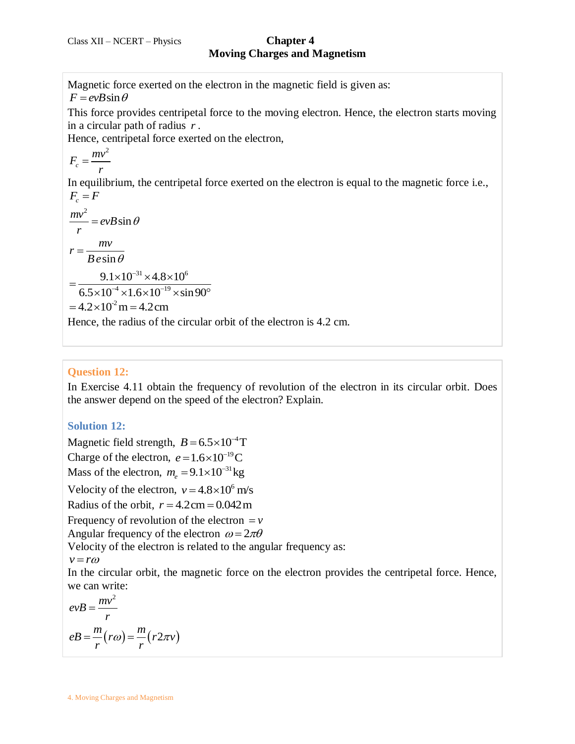Magnetic force exerted on the electron in the magnetic field is given as:  $F = evB\sin\theta$ This force provides centripetal force to the moving electron. Hence, the electron starts moving in a circular path of radius *r* . Hence, centripetal force exerted on the electron, 2  $F_c = \frac{mv}{m}$ *r*  $=$ In equilibrium, the centripetal force exerted on the electron is equal to the magnetic force i.e.,  $F_c = F$  $\frac{mv^2}{2} = evB\sin\theta$ *r*  $= evB\sin\theta$ sin  $r = \frac{mv}{\sqrt{v^2 + 4\mu^2}}$  $Be\sin\theta$  $=$  $31 \times 4.8 \times 10^6$  $\frac{9.1 \times 10^{-31} \times 4.8 \times 10}{10^{-4} \times 1.6 \times 10^{-19} \times 9}$  $\frac{9.1 \times 10^{-31} \times 4.8 \times 10^6}{6.5 \times 10^{-4} \times 1.6 \times 10^{-19} \times \sin 90}$  $\frac{4}{-4}$  × 1.6 × 1.0<sup>-19</sup>  $\frac{9.1 \times 10^{-31} \times 4.8 \times 10^6}{6.5 \times 10^{-4} \times 1.6 \times 10^{-19} \times \sin 90^{\circ}}$  $=4.2\times10^{2}$  m  $=4.2$ cm

Hence, the radius of the circular orbit of the electron is 4.2 cm.

## **Question 12:**

In Exercise 4.11 obtain the frequency of revolution of the electron in its circular orbit. Does the answer depend on the speed of the electron? Explain.

#### **Solution 12:**

Magnetic field strength,  $B = 6.5 \times 10^{-4}$ T

Charge of the electron,  $e = 1.6 \times 10^{-19}$ C

Mass of the electron,  $m_e = 9.1 \times 10^{-31}$  kg

Velocity of the electron,  $v = 4.8 \times 10^6$  m/s

Radius of the orbit,  $r = 4.2 \text{ cm} = 0.042 \text{ m}$ 

Frequency of revolution of the electron  $= v$ 

Angular frequency of the electron  $\omega = 2\pi\theta$ 

Velocity of the electron is related to the angular frequency as:

$$
v = r\omega
$$

In the circular orbit, the magnetic force on the electron provides the centripetal force. Hence, we can write:

$$
evB = \frac{mv^2}{r}
$$

$$
eB = \frac{m}{r}(r\omega) = \frac{m}{r}(r2\pi v)
$$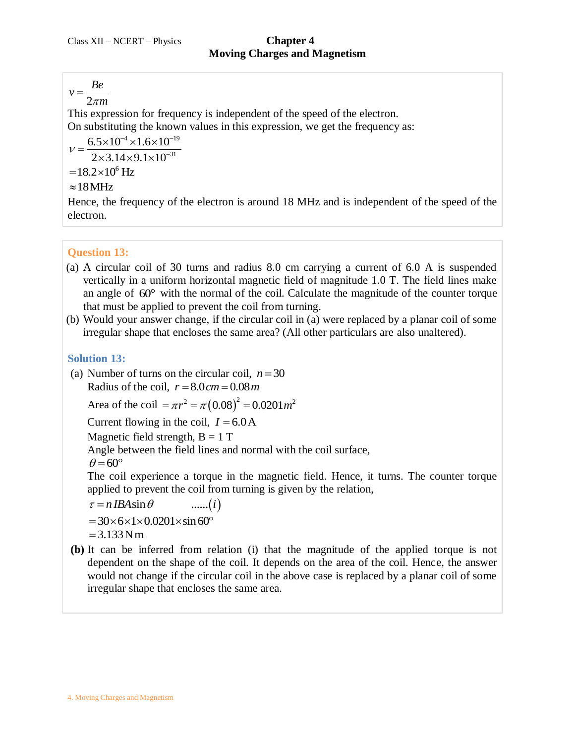$v = \frac{Be}{2}$  $=$ 

2 *m*

This expression for frequency is independent of the speed of the electron. On substituting the known values in this expression, we get the frequency as:

 $6.5 \times 10^{-4} \times 1.6 \times 10^{-19}$  $\frac{2 \times 3.14 \times 9.1 \times 10^{-31}}{2 \times 3.14 \times 9.1 \times 10^{-31}}$  $V =$ 

 $= 18.2 \times 10^6$  Hz

# $\approx$  18 MHz

Hence, the frequency of the electron is around 18 MHz and is independent of the speed of the electron.

# **Question 13:**

- (a) A circular coil of 30 turns and radius 8.0 cm carrying a current of 6.0 A is suspended vertically in a uniform horizontal magnetic field of magnitude 1.0 T. The field lines make an angle of 60° with the normal of the coil. Calculate the magnitude of the counter torque that must be applied to prevent the coil from turning.
- (b) Would your answer change, if the circular coil in (a) were replaced by a planar coil of some irregular shape that encloses the same area? (All other particulars are also unaltered).

# **Solution 13:**

(a) Number of turns on the circular coil,  $n = 30$ Radius of the coil,  $r = 8.0 cm = 0.08 m$ Radius of the coil,  $r = 8.0 cm = 0.08 m$ <br>Area of the coil  $= \pi r^2 = \pi (0.08)^2 = 0.0201 m^2$ 

Current flowing in the coil,  $I = 6.0$ A

Magnetic field strength,  $B = 1 T$ 

Angle between the field lines and normal with the coil surface,

$$
\theta = 60^{\circ}
$$

The coil experience a torque in the magnetic field. Hence, it turns. The counter torque applied to prevent the coil from turning is given by the relation,<br>  $\tau = n IBA \sin \theta$  ......(*i*)

 $\tau = n IBA \sin \theta$  ......(*i*)<br>= 30×6×1×0.0201×sin60°<br>= 3.133Nm

**(b)** It can be inferred from relation (i) that the magnitude of the applied torque is not dependent on the shape of the coil. It depends on the area of the coil. Hence, the answer would not change if the circular coil in the above case is replaced by a planar coil of some irregular shape that encloses the same area.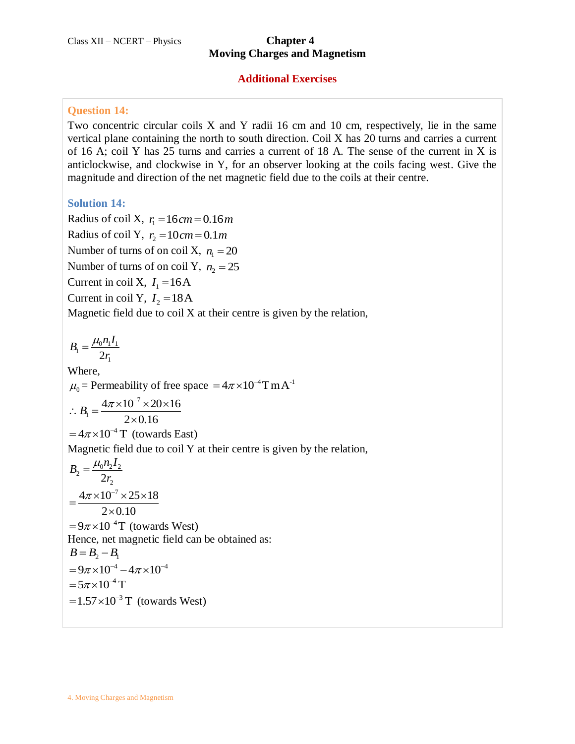# **Moving Charges and Magnetism**

#### **Additional Exercises**

### **Question 14:**

Two concentric circular coils X and Y radii 16 cm and 10 cm, respectively, lie in the same vertical plane containing the north to south direction. Coil X has 20 turns and carries a current of 16 A; coil Y has 25 turns and carries a current of 18 A. The sense of the current in X is anticlockwise, and clockwise in Y, for an observer looking at the coils facing west. Give the magnitude and direction of the net magnetic field due to the coils at their centre.

#### **Solution 14:**

Radius of coil X,  $r_1 = 16$  cm = 0.16 m Radius of coil Y,  $r_2 = 10$  cm = 0.1m Number of turns of on coil X,  $n_1 = 20$ Number of turns of on coil Y,  $n_2 = 25$ Current in coil X,  $I_1 = 16A$ Current in coil Y,  $I_2 = 18A$ Magnetic field due to coil  $X$  at their centre is given by the relation,

 $B_1 = \frac{\mu_0 n_1}{2r_1}$  $B_1 = \frac{\mu_0 n_1 I}{2}$ *r*  $=\frac{\mu_{0}}{2}$ Where,  $\mu_0$  = Permeability of free space =  $4\pi \times 10^{-4}$ TmA<sup>-1</sup> 7  $B_1 = \frac{4\pi \times 10^{-7} \times 20 \times 16}{2 \times 0.16}$  $B_1 = \frac{4\pi \times 10^{-7} \times 20 \times 16}{2 \times 0.16}$  $=4\pi\times10^{-4}$  T (towards East) Magnetic field due to coil Y at their centre is given by the relation,  $S_2 = \frac{\mu_0 n_2 r_2}{2r_2}$  $B_2 = \frac{\mu_0 n_2 I}{2}$ *r*  $=\frac{\mu_{0}}{2}$  $4\pi \times 10^{-7} \times 25 \times 18$  $\overline{2 \times 0.10}$  $=\frac{4\pi\times10^{-7}\times25\times18}{2\times10^{-7}}$  $\times$  $= 9\pi \times 10^{-4}$ T (towards West) Hence, net magnetic field can be obtained as:  $B = B_2 - B_1$  $= 9\pi \times 10^{-4} - 4\pi \times 10^{-4}$  $= 5\pi \times 10^{-4}$  T  $= 1.57 \times 10^{-3}$  T (towards West)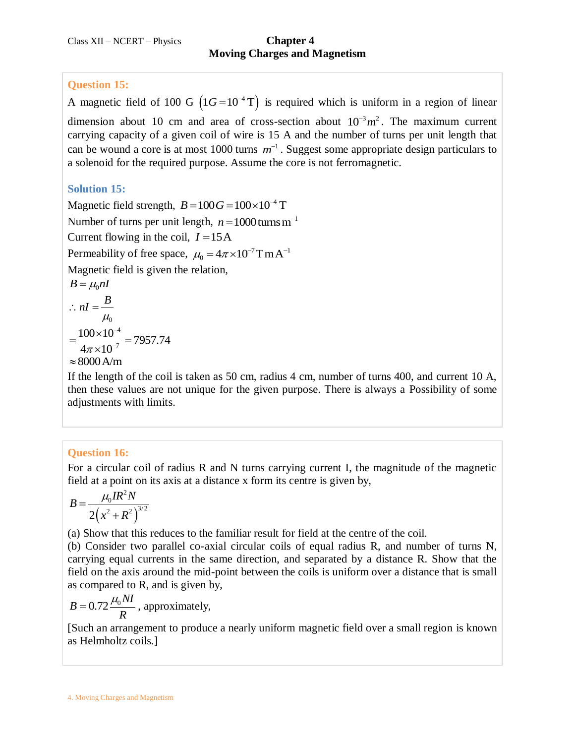## **Question 15:**

A magnetic field of 100 G  $(1G = 10^{-4} T)$  is required which is uniform in a region of linear dimension about 10 cm and area of cross-section about  $10^{-3} m^2$ . The maximum current carrying capacity of a given coil of wire is 15 A and the number of turns per unit length that can be wound a core is at most 1000 turns  $m^{-1}$ . Suggest some appropriate design particulars to a solenoid for the required purpose. Assume the core is not ferromagnetic.

# **Solution 15:**

Magnetic field strength,  $B = 100G = 100 \times 10^{-4}$  T Number of turns per unit length,  $n = 1000$  turns m<sup>-1</sup> Current flowing in the coil,  $I = 15A$ Permeability of free space,  $\mu_0 = 4\pi \times 10^{-7}$ TmA<sup>-1</sup> Magnetic field is given the relation,  $B = \mu_0 nI$ 0  $nI = \frac{B}{A}$  $\mu_{\scriptscriptstyle (}$  $\therefore$  nI = 4  $\frac{100\times10^{-4}}{4\pi\times10^{-7}}$  = 7957.74  $\frac{1}{4\pi \times 10}$ -- $=\frac{100\times10^{-4}}{4\times10^{-7}}=79$  $\times$  $\approx 8000$  A/m

If the length of the coil is taken as 50 cm, radius 4 cm, number of turns 400, and current 10 A, then these values are not unique for the given purpose. There is always a Possibility of some adjustments with limits.

# **Question 16:**

For a circular coil of radius R and N turns carrying current I, the magnitude of the magnetic field at a point on its axis at a distance x form its centre is given by,

$$
B = \frac{\mu_0 I R^2 N}{2 (x^2 + R^2)^{3/2}}
$$

(a) Show that this reduces to the familiar result for field at the centre of the coil.

(b) Consider two parallel co-axial circular coils of equal radius R, and number of turns N, carrying equal currents in the same direction, and separated by a distance R. Show that the field on the axis around the mid-point between the coils is uniform over a distance that is small as compared to R, and is given by,

$$
B = 0.72 \frac{\mu_0 NI}{R}
$$
, approximately,

[Such an arrangement to produce a nearly uniform magnetic field over a small region is known as Helmholtz coils.]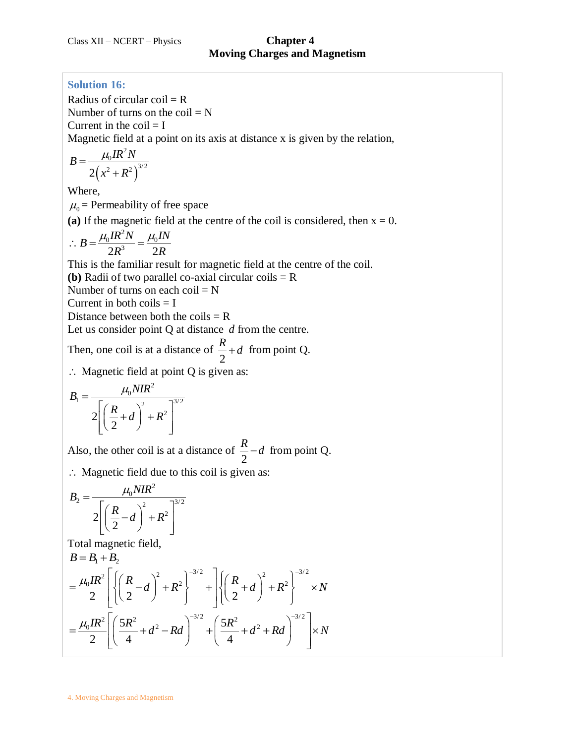### **Solution 16:**

Radius of circular  $\text{coil} = \text{R}$ Number of turns on the  $\text{coil} = N$ Current in the  $\text{coil} = I$ 

Magnetic field at a point on its axis at distance x is given by the relation,

$$
B = \frac{\mu_0 I R^2 N}{2\left(x^2 + R^2\right)^{3/2}}
$$

Where,

 $\mu_0$  = Permeability of free space

(a) If the magnetic field at the centre of the coil is considered, then  $x = 0$ .

$$
\therefore B = \frac{\mu_0 I R^2 N}{2R^3} = \frac{\mu_0 I N}{2R}
$$

This is the familiar result for magnetic field at the centre of the coil.

**(b)** Radii of two parallel co-axial circular coils  $=$  R

Number of turns on each coil =  $N$ 

Current in both coils  $=$  I

Distance between both the coils  $= R$ 

Let us consider point Q at distance d from the centre.

Then, one coil is at a distance of 2  $\frac{R}{2}$  + *d* from point Q.

 $\therefore$  Magnetic field at point Q is given as:

$$
B_1 = \frac{\mu_0 NIR^2}{2\left[\left(\frac{R}{2} + d\right)^2 + R^2\right]^{3/2}}
$$

Also, the other coil is at a distance of 2  $\frac{R}{2}$  – *d* from point Q.

: Magnetic field due to this coil is given as:

$$
B_2 = \frac{\mu_0 NIR^2}{2\left[\left(\frac{R}{2} - d\right)^2 + R^2\right]^{3/2}}
$$

Total magnetic field,

Total magnetic field,  
\n
$$
B = B_1 + B_2
$$
\n
$$
= \frac{\mu_0 I R^2}{2} \left[ \left\{ \left( \frac{R}{2} - d \right)^2 + R^2 \right\}^{-3/2} + \left[ \left\{ \left( \frac{R}{2} + d \right)^2 + R^2 \right\}^{-3/2} \right] \times N \right]
$$
\n
$$
= \frac{\mu_0 I R^2}{2} \left[ \left( \frac{5R^2}{4} + d^2 - Rd \right)^{-3/2} + \left( \frac{5R^2}{4} + d^2 + Rd \right)^{-3/2} \right] \times N
$$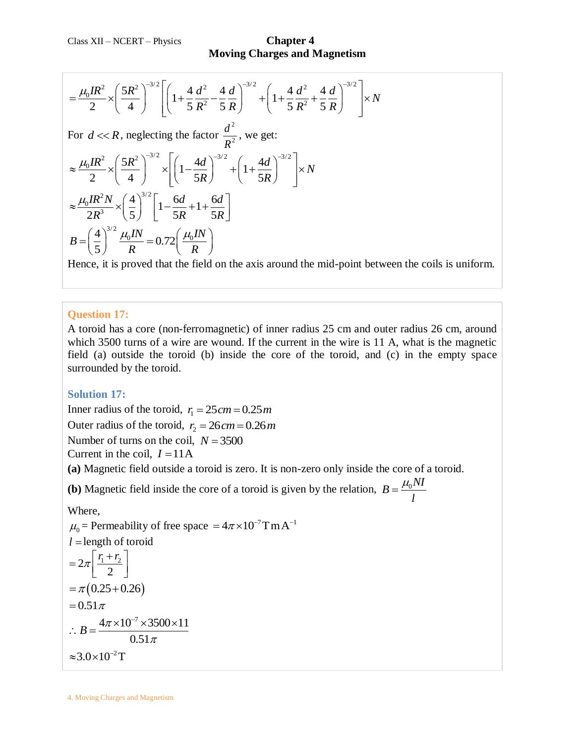**Moving Charges and Magnetism**

Moving Chargest and Magnetism

\n
$$
= \frac{\mu_0 I R^2}{2} \times \left(\frac{5R^2}{4}\right)^{-3/2} \left[ \left(1 + \frac{4}{5} \frac{d^2}{R^2} - \frac{4}{5} \frac{d}{R}\right)^{-3/2} + \left(1 + \frac{4}{5} \frac{d^2}{R^2} + \frac{4}{5} \frac{d}{R}\right)^{-3/2} \right] \times N
$$
\nFor  $d \ll R$ , neglecting the factor  $\frac{d^2}{R^2}$ , we get:

\n
$$
\approx \frac{\mu_0 I R^2}{2} \times \left(\frac{5R^2}{4}\right)^{-3/2} \times \left[ \left(1 - \frac{4d}{5R}\right)^{-3/2} + \left(1 + \frac{4d}{5R}\right)^{-3/2} \right] \times N
$$
\n
$$
\approx \frac{\mu_0 I R^2 N}{2R^3} \times \left(\frac{4}{5}\right)^{3/2} \left[1 - \frac{6d}{5R} + 1 + \frac{6d}{5R}\right]
$$
\n
$$
B = \left(\frac{4}{5}\right)^{3/2} \frac{\mu_0 I N}{R} = 0.72 \left(\frac{\mu_0 I N}{R}\right)
$$

Hence, it is proved that the field on the axis around the mid-point between the coils is uniform.

#### **Question 17:**

A toroid has a core (non-ferromagnetic) of inner radius 25 cm and outer radius 26 cm, around which 3500 turns of a wire are wound. If the current in the wire is 11 A, what is the magnetic field (a) outside the toroid (b) inside the core of the toroid, and (c) in the empty space surrounded by the toroid.

#### **Solution 17:**

Inner radius of the toroid,  $r_1 = 25$  cm = 0.25 m Outer radius of the toroid,  $r_2 = 26$  cm = 0.26 m Number of turns on the coil,  $N = 3500$ Current in the coil,  $I = 11A$ 

**(a)** Magnetic field outside a toroid is zero. It is non-zero only inside the core of a toroid.

**(b)** Magnetic field inside the core of a toroid is given by the relation,  $B = \frac{\mu_0 NI}{I}$ *l*  $=\frac{\mu_{0}}{2}$ 

#### Where,

 $\mu_0$  = Permeability of free space =  $4\pi \times 10^{-7}$ TmA<sup>-1</sup>  $l =$  length of toroid  $2\pi \frac{11 + 12}{2}$ 2  $=2\pi\left[\frac{r_1+r_2}{2}\right]$  $= \pi (0.25 + 0.26)$  $= 0.51 \pi$  $4\pi \times 10^{-7} \times 3500 \times 11$  $B=\frac{4\pi}{4}$  $\therefore B = \frac{4\pi \times 10^{-7} \times 3500 \times 11}{0.51}$ 

π

$$
0.51
$$
  

$$
\approx 3.0 \times 10^{-2} \text{T}
$$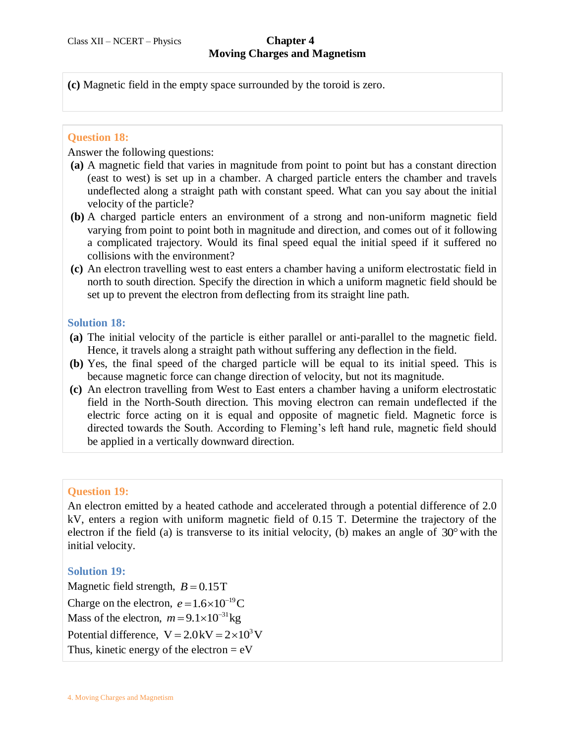**(c)** Magnetic field in the empty space surrounded by the toroid is zero.

### **Question 18:**

Answer the following questions:

- **(a)** A magnetic field that varies in magnitude from point to point but has a constant direction (east to west) is set up in a chamber. A charged particle enters the chamber and travels undeflected along a straight path with constant speed. What can you say about the initial velocity of the particle?
- **(b)** A charged particle enters an environment of a strong and non-uniform magnetic field varying from point to point both in magnitude and direction, and comes out of it following a complicated trajectory. Would its final speed equal the initial speed if it suffered no collisions with the environment?
- **(c)** An electron travelling west to east enters a chamber having a uniform electrostatic field in north to south direction. Specify the direction in which a uniform magnetic field should be set up to prevent the electron from deflecting from its straight line path.

### **Solution 18:**

- **(a)** The initial velocity of the particle is either parallel or anti-parallel to the magnetic field. Hence, it travels along a straight path without suffering any deflection in the field.
- **(b)** Yes, the final speed of the charged particle will be equal to its initial speed. This is because magnetic force can change direction of velocity, but not its magnitude.
- **(c)** An electron travelling from West to East enters a chamber having a uniform electrostatic field in the North-South direction. This moving electron can remain undeflected if the electric force acting on it is equal and opposite of magnetic field. Magnetic force is directed towards the South. According to Fleming's left hand rule, magnetic field should be applied in a vertically downward direction.

# **Question 19:**

An electron emitted by a heated cathode and accelerated through a potential difference of 2.0 kV, enters a region with uniform magnetic field of 0.15 T. Determine the trajectory of the electron if the field (a) is transverse to its initial velocity, (b) makes an angle of  $30^{\circ}$  with the initial velocity.

# **Solution 19:**

Magnetic field strength,  $B = 0.15$ T Charge on the electron,  $e = 1.6 \times 10^{-19}$ C Mass of the electron,  $m = 9.1 \times 10^{-31}$  kg Potential difference,  $V = 2.0$  kV =  $2 \times 10^3$  V Thus, kinetic energy of the electron  $= eV$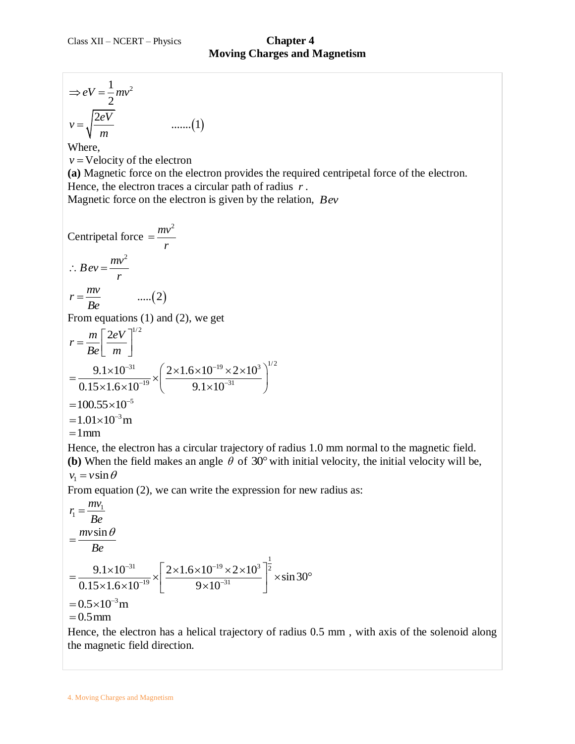$$
\Rightarrow eV = \frac{1}{2}mv^2
$$
  

$$
v = \sqrt{\frac{2eV}{m}}
$$
 ......(1)

Where,

 $v =$  Velocity of the electron

**(a)** Magnetic force on the electron provides the required centripetal force of the electron. Hence, the electron traces a circular path of radius *r* .

Magnetic force on the electron is given by the relation, *Bev*

$$
\Rightarrow eV = \frac{1}{2}mv^2
$$
  
\n $v = \sqrt{\frac{2eV}{m}}$  ......(1)  
\nWhere,  
\n $v = \text{Velocity of the electron}$   
\n(a) Magnetic force on the electron provides the req  
\nHence, the electron traces a circular path of radius *i*  
\nMagnetic force on the electron is given by the relati  
\nCentripetal force  $= \frac{mv^2}{r}$   
\n $\therefore Bev = \frac{mv^2}{r}$   
\n $r = \frac{mv}{Be}$  ......(2)  
\nFrom equations (1) and (2), we get  
\n $r = \frac{m}{Be} \left[\frac{2eV}{m}\right]^{1/2}$   
\n $= \frac{9.1 \times 10^{-31}}{0.15 \times 1.6 \times 10^{-19}} \times \left(\frac{2 \times 1.6 \times 10^{-19} \times 2 \times 10^3}{9.1 \times 10^{-31}}\right)^{1/2}$   
\n= 100.55×10<sup>-5</sup>  
\n= 1.01×10<sup>-3</sup>m  
\n= 1mm  
\nHence, the electron has a circular trajectory of radiu  
\n(b) When the field makes an angle  $\theta$  of 30° with in  
\n $v_1 = v \sin \theta$   
\nFrom equation (2), we can write the expression for r  
\n $r_1 = \frac{mv_1}{Be}$   
\n $= \frac{mv \sin \theta}{Be}$   
\n $= \frac{9.1 \times 10^{-31}}{Be}$   
\n $= \frac{9.1 \times 10^{-31}}{0.15 \times 1.6 \times 10^{-19}} \times \left[\frac{2 \times 1.6 \times 10^{-19} \times 2 \times 10^3}{9 \times 10^{-31}}\right]^{\frac{1}{2}} \times \sin 3$   
\n= 0.5 x10<sup>-3</sup>m  
\nHence, the electron has a helical trajectory of radiu  
\nthe magnetic field direction.  
\n4. Moving charges and Magnetism

Hence, the electron has a circular trajectory of radius 1.0 mm normal to the magnetic field. (b) When the field makes an angle  $\theta$  of 30° with initial velocity, the initial velocity will be,  $v_1 = v \sin \theta$ 

From equation (2), we can write the expression for new radius as:

$$
r_1 = \frac{mv_1}{Be}
$$
  
=  $\frac{mv \sin \theta}{Be}$   
=  $\frac{9.1 \times 10^{-31}}{0.15 \times 1.6 \times 10^{-19}} \times \left[ \frac{2 \times 1.6 \times 10^{-19} \times 2 \times 10^3}{9 \times 10^{-31}} \right]^{\frac{1}{2}} \times \sin 30^{\circ}$   
= 0.5×10<sup>-3</sup>m  
= 0.5 mm

Hence, the electron has a helical trajectory of radius 0.5 mm , with axis of the solenoid along the magnetic field direction.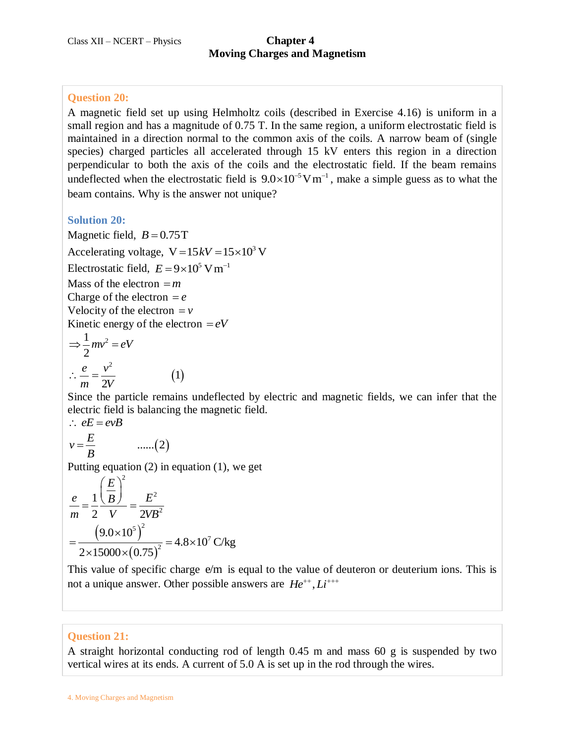## **Question 20:**

A magnetic field set up using Helmholtz coils (described in Exercise 4.16) is uniform in a small region and has a magnitude of 0.75 T. In the same region, a uniform electrostatic field is maintained in a direction normal to the common axis of the coils. A narrow beam of (single species) charged particles all accelerated through 15 kV enters this region in a direction perpendicular to both the axis of the coils and the electrostatic field. If the beam remains undeflected when the electrostatic field is  $9.0 \times 10^{-5}$ V m<sup>-1</sup>, make a simple guess as to what the beam contains. Why is the answer not unique?

#### **Solution 20:**

Magnetic field,  $B = 0.75$ T Accelerating voltage,  $V = 15kV = 15 \times 10^3$  V Electrostatic field,  $E = 9 \times 10^5$  V m<sup>-1</sup> Mass of the electron *m* Charge of the electron  $= e$ Velocity of the electron  $= v$ Kinetic energy of the electron  $= eV$ 

 $(1)$ 

$$
\Rightarrow \frac{1}{2}mv^2 = eV
$$

$$
\therefore \frac{e}{m} = \frac{v^2}{2V}
$$

Since the particle remains undeflected by electric and magnetic fields, we can infer that the electric field is balancing the magnetic field.  $\mathbf{F} = \mathbf{F} \mathbf{F} = \mathbf{F} \mathbf{F} \mathbf{F}$ 

$$
\therefore eE = eVB
$$
  

$$
v = \frac{E}{B} \qquad \qquad \dots \dots (2)
$$

Putting equation (2) in equation (1), we get

$$
\frac{e}{m} = \frac{1}{2} \frac{\left(\frac{E}{B}\right)^2}{V} = \frac{E^2}{2VB^2}
$$

$$
= \frac{\left(9.0 \times 10^5\right)^2}{2 \times 15000 \times \left(0.75\right)^2} = 4.8 \times 10^7 \text{ C/kg}
$$

This value of specific charge  $e/m$  is equal to the value of deuteron or deuterium ions. This is not a unique answer. Other possible answers are  $He^{++}$ ,  $Li^{+++}$ 

#### **Question 21:**

A straight horizontal conducting rod of length 0.45 m and mass 60 g is suspended by two vertical wires at its ends. A current of 5.0 A is set up in the rod through the wires.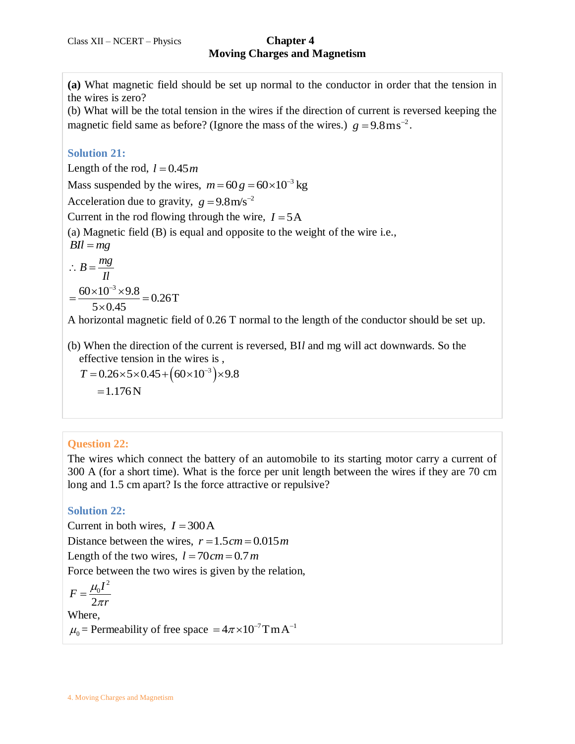**(a)** What magnetic field should be set up normal to the conductor in order that the tension in the wires is zero?

(b) What will be the total tension in the wires if the direction of current is reversed keeping the magnetic field same as before? (Ignore the mass of the wires.)  $g = 9.8 \text{ m s}^{-2}$ .

#### **Solution 21:**

Length of the rod,  $l = 0.45m$ 

Mass suspended by the wires,  $m = 60 g = 60 \times 10^{-3} kg$ 

Acceleration due to gravity,  $g = 9.8 \text{ m/s}^{-2}$ 

Current in the rod flowing through the wire,  $I = 5A$ 

(a) Magnetic field (B) is equal and opposite to the weight of the wire i.e.,

 $BII = mg$ 

$$
\therefore B = \frac{mg}{Il}
$$
  
=  $\frac{60 \times 10^{-3} \times 9.8}{5 \times 0.45} = 0.26$ T

A horizontal magnetic field of 0.26 T normal to the length of the conductor should be set up.

(b) When the direction of the current is reversed, BI*l* and mg will act downwards. So the effective tension in the wires is , (b) When the direction of the current is rev<br>effective tension in the wires is,<br> $T = 0.26 \times 5 \times 0.45 + (60 \times 10^{-3}) \times 9.8$ 

 $=1.176N$ 

# **Question 22:**

The wires which connect the battery of an automobile to its starting motor carry a current of 300 A (for a short time). What is the force per unit length between the wires if they are 70 cm long and 1.5 cm apart? Is the force attractive or repulsive?

# **Solution 22:**

Current in both wires,  $I = 300 \text{ A}$ 

Distance between the wires,  $r = 1.5$  cm  $= 0.015$  m

Length of the two wires,  $l = 70$  cm = 0.7 m

Force between the two wires is given by the relation,

$$
F = \frac{\mu_0 I^2}{2\pi r}
$$

Where,  $\mu_0$  = Permeability of free space =  $4\pi \times 10^{-7}$ TmA<sup>-1</sup>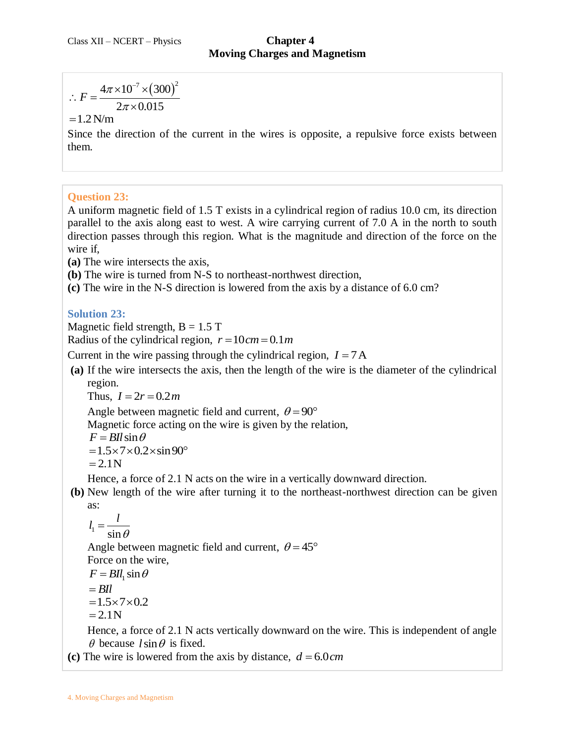$$
\therefore F = \frac{4\pi \times 10^{-7} \times (300)^2}{2\pi \times 0.015}
$$

#### $=1.2 N/m$

Since the direction of the current in the wires is opposite, a repulsive force exists between them.

#### **Question 23:**

∴  $F = \frac{4\pi \times 10^{-7} \times (300)^2}{2\pi \times 0.015}$ <br>= 1.2 N/m<br>Since the direction of the c<br>them.<br>Moviet the direction of the c<br>them.<br>Question 23:<br>A uniform magnetic field of<br>direction passes through this<br>wire if,<br>(a) The wire inte A uniform magnetic field of 1.5 T exists in a cylindrical region of radius 10.0 cm, its direction parallel to the axis along east to west. A wire carrying current of 7.0 A in the north to south direction passes through this region. What is the magnitude and direction of the force on the wire if,

**(a)** The wire intersects the axis,

**(b)** The wire is turned from N-S to northeast-northwest direction,

**(c)** The wire in the N-S direction is lowered from the axis by a distance of 6.0 cm?

### **Solution 23:**

Magnetic field strength,  $B = 1.5$  T

Radius of the cylindrical region,  $r = 10$  cm = 0.1m

Current in the wire passing through the cylindrical region,  $I = 7A$ 

**(a)** If the wire intersects the axis, then the length of the wire is the diameter of the cylindrical region.

Thus,  $I = 2r = 0.2m$ 

Angle between magnetic field and current,  $\theta = 90^{\circ}$ 

Magnetic force acting on the wire is given by the relation,

$$
F = B l l \sin \theta
$$

 $= 1.5 \times 7 \times 0.2 \times \sin 90^\circ$ 

$$
=2.1N
$$

Hence, a force of 2.1 N acts on the wire in a vertically downward direction.

**(b)** New length of the wire after turning it to the northeast-northwest direction can be given as:

$$
\overline{1}
$$

$$
l_1 = \frac{v}{\sin \theta}
$$

Angle between magnetic field and current,  $\theta = 45^{\circ}$ 

Force on the wire,

*l*

$$
F = B l l_1 \sin \theta
$$

 $=$ *BIl* 

$$
=1.5\times7\times0.2
$$

 $=2.1N$ 

Hence, a force of 2.1 N acts vertically downward on the wire. This is independent of angle  $\theta$  because  $l \sin \theta$  is fixed.

(c) The wire is lowered from the axis by distance,  $d = 6.0 \text{ cm}$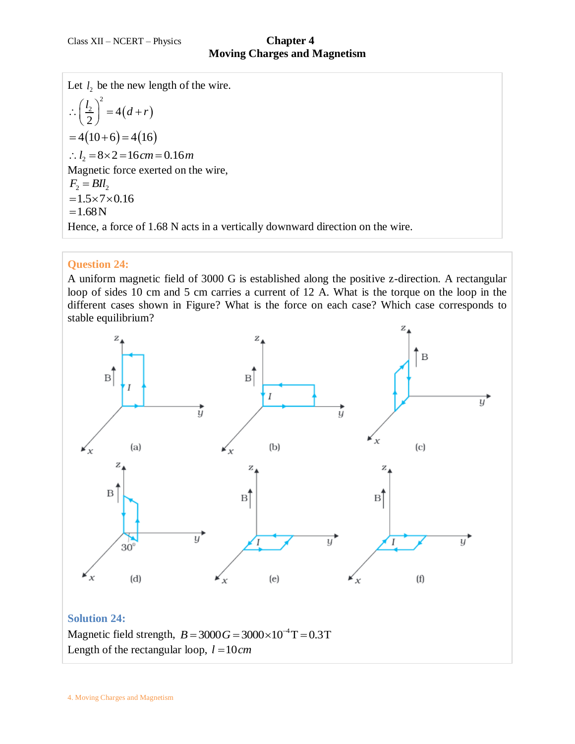Let  $l_2$  be the new length of the wire.  $2^{2} = 4(d+r)$  $\frac{2}{2}$  = 4 2  $\therefore \left(\frac{l_2}{2}\right)^2 = 4(d+r)$ <br>
= 4(10+6) = 4(16)<br>  $\therefore l_2 = 8 \times 2 = 16$  *cm* = 0.16*m* Magnetic force exerted on the wire,  $F_2 = BII_2$  $= 1.5 \times 7 \times 0.16$  $=1.68N$ Hence, a force of 1.68 N acts in a vertically downward direction on the wire.

# **Question 24:**

A uniform magnetic field of 3000 G is established along the positive z-direction. A rectangular loop of sides 10 cm and 5 cm carries a current of 12 A. What is the torque on the loop in the different cases shown in Figure? What is the force on each case? Which case corresponds to stable equilibrium?

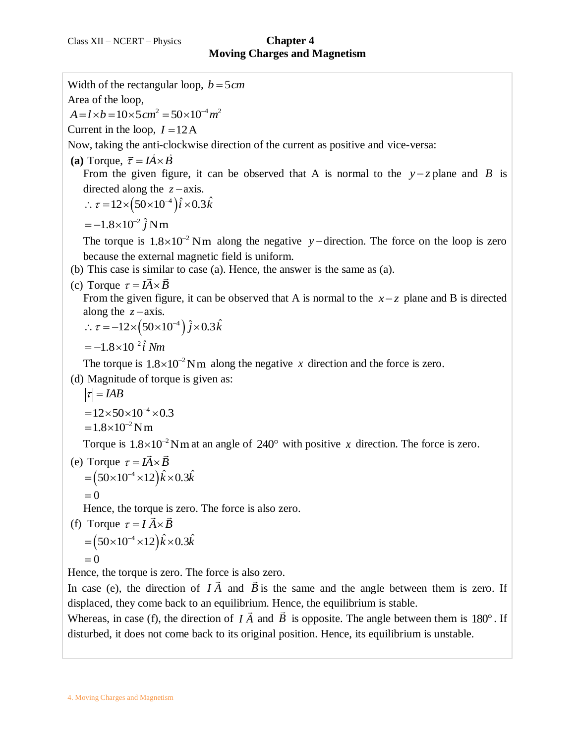Width of the rectangular loop,  $b = 5$ *cm* Area of the loop, Area of the loop,<br> $A = l \times b = 10 \times 5 cm^2 = 50 \times 10^{-4} m^2$ Current in the loop,  $I = 12A$ Now, taking the anti-clockwise direction of the current as positive and vice-versa: (a) Torque,  $\vec{\tau} = I \vec{A} \times \vec{B}$ From the given figure, it can be observed that A is normal to the  $y-z$  plane and B is directed along the  $z - axis$ . directed along the  $z$  – axis.<br>  $\therefore \tau = 12 \times (50 \times 10^{-4}) \hat{i} \times 0.3 \hat{k}$  $=-1.8\times10^{-2}\hat{j}$  Nm The torque is  $1.8 \times 10^{-2}$  Nm along the negative y-direction. The force on the loop is zero because the external magnetic field is uniform. (b) This case is similar to case (a). Hence, the answer is the same as (a). (c) Torque  $\tau = I \vec{A} \times \vec{B}$ From the given figure, it can be observed that A is normal to the  $x-z$  plane and B is directed along the  $z - axis$ . along the  $z$ -axis.<br>  $\therefore \tau = -12 \times (50 \times 10^{-4}) \hat{j} \times 0.3 \hat{k}$  $=-1.8\times10^{-2}\hat{i}$  Nm The torque is  $1.8 \times 10^{-2}$  Nm along the negative x direction and the force is zero. (d) Magnitude of torque is given as:  $|\tau| = IAB$  $=12\times50\times10^{-4}\times0.3$  $= 1.8 \times 10^{-2}$  Nm Torque is  $1.8 \times 10^{-2}$  Nm at an angle of  $240^{\circ}$  with positive x direction. The force is zero. (e) Torque  $\tau = I \vec{A} \times \vec{B}$ Torque  $\tau = I\vec{A} \times \vec{B}$ <br>=  $(50 \times 10^{-4} \times 12)\hat{k} \times 0.3\hat{k}$  $=0$ Hence, the torque is zero. The force is also zero. (f) Torque  $\tau = I \vec{A} \times \vec{B}$ Torque  $\tau = I \vec{A} \times \vec{B}$ <br>=  $(50 \times 10^{-4} \times 12) \hat{k} \times 0.3 \hat{k}$  $= 0$ Hence, the torque is zero. The force is also zero. In case (e), the direction of  $\overrightarrow{IA}$  and  $\overrightarrow{B}$  is the same and the angle between them is zero. If displaced, they come back to an equilibrium. Hence, the equilibrium is stable. Whereas, in case (f), the direction of  $I\overrightarrow{A}$  and  $\overrightarrow{B}$  is opposite. The angle between them is 180°. If disturbed, it does not come back to its original position. Hence, its equilibrium is unstable.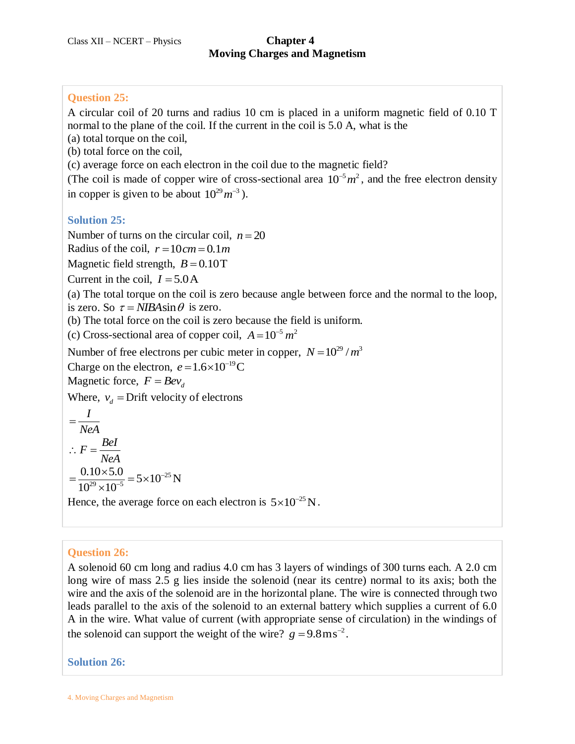# **Moving Charges and Magnetism**

#### **Question 25:**

A circular coil of 20 turns and radius 10 cm is placed in a uniform magnetic field of 0.10 T normal to the plane of the coil. If the current in the coil is 5.0 A, what is the

(a) total torque on the coil,

(b) total force on the coil,

(c) average force on each electron in the coil due to the magnetic field?

(The coil is made of copper wire of cross-sectional area  $10^{-5} m^2$ , and the free electron density in copper is given to be about  $10^{29} m^{-3}$ ).

### **Solution 25:**

Number of turns on the circular coil,  $n = 20$ 

Radius of the coil,  $r = 10 cm = 0.1 m$ 

Magnetic field strength,  $B = 0.10$ T

Current in the coil,  $I = 5.0$  A

(a) The total torque on the coil is zero because angle between force and the normal to the loop, is zero. So  $\tau = NIBA \sin \theta$  is zero.

(b) The total force on the coil is zero because the field is uniform.

(c) Cross-sectional area of copper coil,  $A = 10^{-5} m^2$ 

Number of free electrons per cubic meter in copper,  $N = 10^{29} / m^3$ 

Charge on the electron,  $e = 1.6 \times 10^{-19}$ C

Magnetic force,  $F = Bev_d$ 

Where,  $v_d$  = Drift velocity of electrons

$$
=\frac{I}{NeA}
$$
  
∴  $F = \frac{Bel}{NeA}$   
=  $\frac{0.10 \times 5.0}{10^{29} \times 10^{-5}} = 5 \times 10^{-25} N$   
Hence, the average force on each electron is  $5 \times 10^{-25} N$ .

# **Question 26:**

A solenoid 60 cm long and radius 4.0 cm has 3 layers of windings of 300 turns each. A 2.0 cm long wire of mass 2.5 g lies inside the solenoid (near its centre) normal to its axis; both the wire and the axis of the solenoid are in the horizontal plane. The wire is connected through two leads parallel to the axis of the solenoid to an external battery which supplies a current of 6.0 A in the wire. What value of current (with appropriate sense of circulation) in the windings of the solenoid can support the weight of the wire?  $g = 9.8 \text{ m s}^{-2}$ .

**Solution 26:**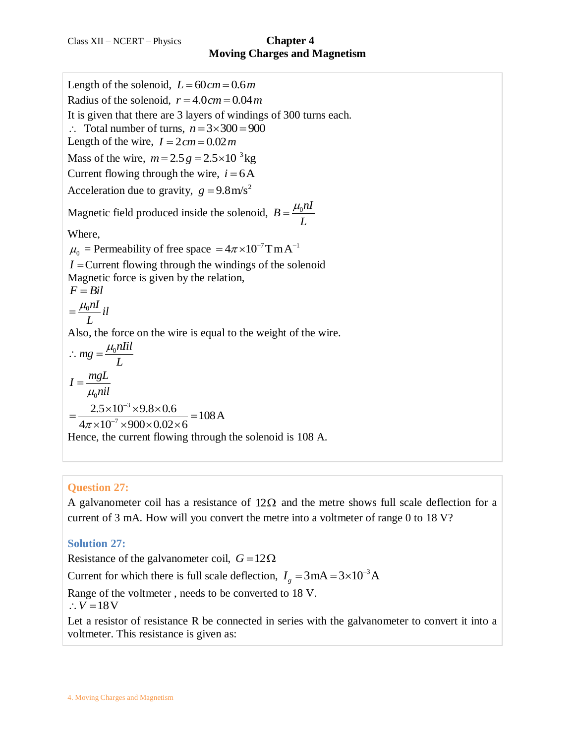Length of the solenoid,  $L = 60$  cm =  $0.6$  m Radius of the solenoid,  $r = 4.0 cm = 0.04 m$ It is given that there are 3 layers of windings of 300 turns each.  $\therefore$  Total number of turns,  $n = 3 \times 300 = 900$ Length of the wire,  $I = 2 \, cm = 0.02 \, m$ Mass of the wire,  $m = 2.5 g = 2.5 \times 10^{-3}$  kg Current flowing through the wire,  $i = 6A$ Acceleration due to gravity,  $g = 9.8 \text{ m/s}^2$ Magnetic field produced inside the solenoid,  $B = \frac{\mu_0 nI}{I}$ *L*  $=\frac{\mu_{0}}{2}$ Where,  $\mu_0$  = Permeability of free space =  $4\pi \times 10^{-7}$  TmA<sup>-1</sup> *I* Current flowing through the windings of the solenoid Magnetic force is given by the relation, *F Bil*  $\frac{0}{2}$ <sup>*nI*</sup> *il L*  $=\frac{\mu_{0}}{2}$ Also, the force on the wire is equal to the weight of the wire.  $mg = \frac{\mu_0 nIil}{I}$ *L*  $\therefore mg = \frac{\mu_0}{\sigma}$ 0  $I = \frac{mgL}{r}$  $\mu_0$ nil  $=$ 3  $\frac{2.5 \times 10^{-3} \times 9.8 \times 0.6}{2.5 \times 10^{-7} \times 9.8 \times 0.6} = 108 \text{ A}$  $2.5 \times 10^{-3} \times 9.8 \times 0.6$ <br> $4\pi \times 10^{-7} \times 900 \times 0.02 \times 6$  $\mu_0 n l l$ <br>=  $\frac{2.5 \times 10^{-3} \times 9.8 \times 0.6}{4 \times 10^{-7} \times 0.00 \times 0.03 \times 6} = 108 \lambda$  $\frac{2.5\times10^{-3}\times9.8\times0.6}{\times10^{-7}\times900\times0.02\times6}=1$ Hence, the current flowing through the solenoid is 108 A.

# **Question 27:**

A galvanometer coil has a resistance of  $12\Omega$  and the metre shows full scale deflection for a current of 3 mA. How will you convert the metre into a voltmeter of range 0 to 18 V?

# **Solution 27:**

Resistance of the galvanometer coil,  $G = 12\Omega$ 

Current for which there is full scale deflection,  $I_g = 3 \text{ mA} = 3 \times 10^{-3} \text{ A}$ 

Range of the voltmeter , needs to be converted to 18 V.

 $\therefore V = 18V$ 

Let a resistor of resistance R be connected in series with the galvanometer to convert it into a voltmeter. This resistance is given as: